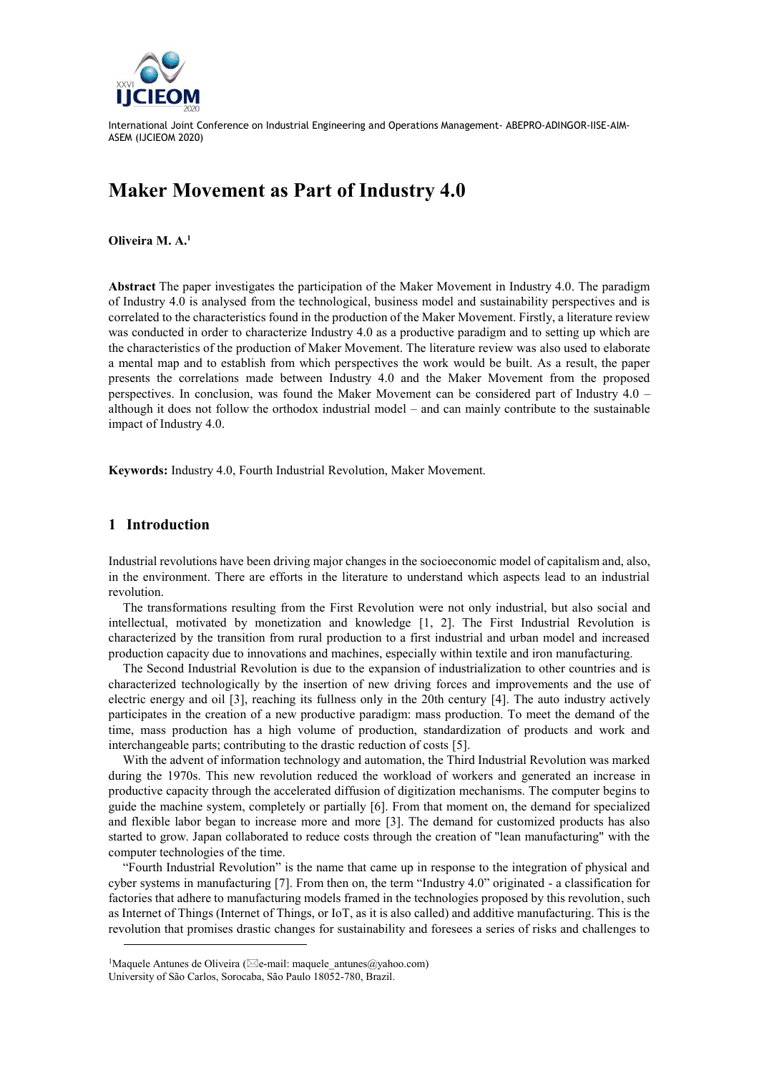

# **Maker Movement as Part of Industry 4.0**

**Oliveira M. A.<sup>1</sup>**

**Abstract** The paper investigates the participation of the Maker Movement in Industry 4.0. The paradigm of Industry 4.0 is analysed from the technological, business model and sustainability perspectives and is correlated to the characteristics found in the production of the Maker Movement. Firstly, a literature review was conducted in order to characterize Industry 4.0 as a productive paradigm and to setting up which are the characteristics of the production of Maker Movement. The literature review was also used to elaborate a mental map and to establish from which perspectives the work would be built. As a result, the paper presents the correlations made between Industry 4.0 and the Maker Movement from the proposed perspectives. In conclusion, was found the Maker Movement can be considered part of Industry 4.0 – although it does not follow the orthodox industrial model – and can mainly contribute to the sustainable impact of Industry 4.0.

**Keywords:** Industry 4.0, Fourth Industrial Revolution, Maker Movement.

### **1 Introduction**

Industrial revolutions have been driving major changes in the socioeconomic model of capitalism and, also, in the environment. There are efforts in the literature to understand which aspects lead to an industrial revolution.

The transformations resulting from the First Revolution were not only industrial, but also social and intellectual, motivated by monetization and knowledge [1, 2]. The First Industrial Revolution is characterized by the transition from rural production to a first industrial and urban model and increased production capacity due to innovations and machines, especially within textile and iron manufacturing.

The Second Industrial Revolution is due to the expansion of industrialization to other countries and is characterized technologically by the insertion of new driving forces and improvements and the use of electric energy and oil [3], reaching its fullness only in the 20th century [4]. The auto industry actively participates in the creation of a new productive paradigm: mass production. To meet the demand of the time, mass production has a high volume of production, standardization of products and work and interchangeable parts; contributing to the drastic reduction of costs [5].

With the advent of information technology and automation, the Third Industrial Revolution was marked during the 1970s. This new revolution reduced the workload of workers and generated an increase in productive capacity through the accelerated diffusion of digitization mechanisms. The computer begins to guide the machine system, completely or partially [6]. From that moment on, the demand for specialized and flexible labor began to increase more and more [3]. The demand for customized products has also started to grow. Japan collaborated to reduce costs through the creation of "lean manufacturing" with the computer technologies of the time.

"Fourth Industrial Revolution" is the name that came up in response to the integration of physical and cyber systems in manufacturing [7]. From then on, the term "Industry 4.0" originated - a classification for factories that adhere to manufacturing models framed in the technologies proposed by this revolution, such as Internet of Things (Internet of Things, or IoT, as it is also called) and additive manufacturing. This is the revolution that promises drastic changes for sustainability and foresees a series of risks and challenges to

<sup>&</sup>lt;sup>1</sup>Maquele Antunes de Oliveira ( $\boxtimes$ e-mail: maquele antunes@yahoo.com) University of São Carlos, Sorocaba, São Paulo 18052-780, Brazil.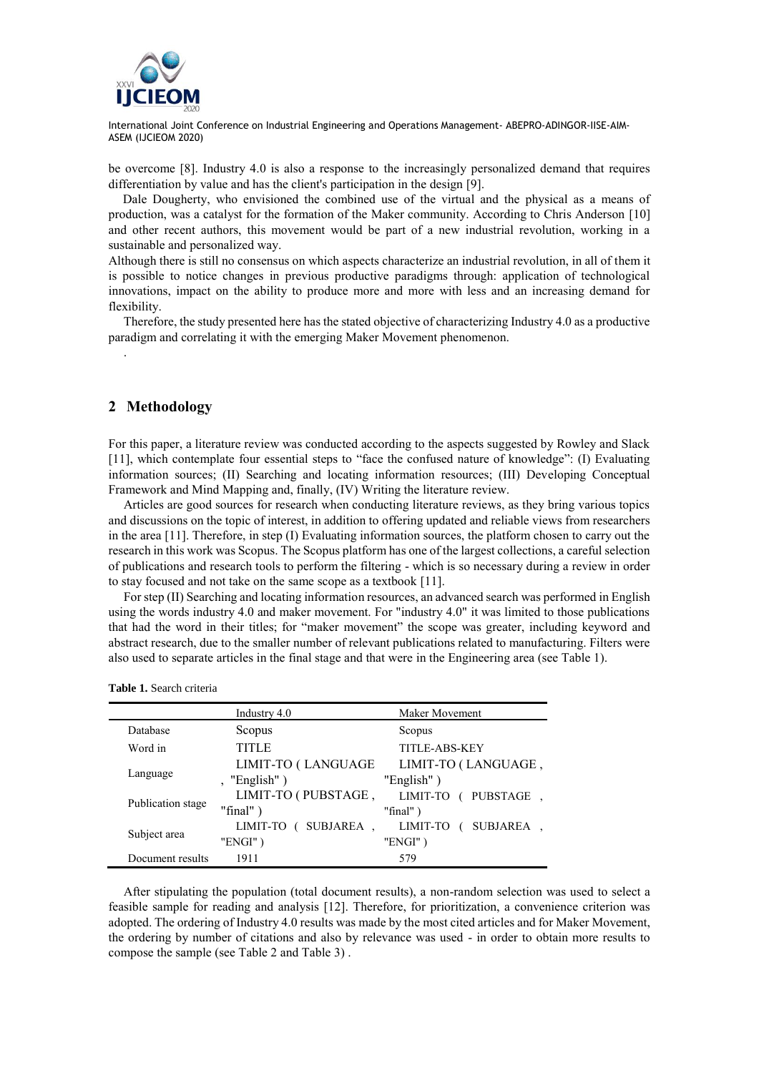

be overcome [8]. Industry 4.0 is also a response to the increasingly personalized demand that requires differentiation by value and has the client's participation in the design [9].

Dale Dougherty, who envisioned the combined use of the virtual and the physical as a means of production, was a catalyst for the formation of the Maker community. According to Chris Anderson [10] and other recent authors, this movement would be part of a new industrial revolution, working in a sustainable and personalized way.

Although there is still no consensus on which aspects characterize an industrial revolution, in all of them it is possible to notice changes in previous productive paradigms through: application of technological innovations, impact on the ability to produce more and more with less and an increasing demand for flexibility.

Therefore, the study presented here has the stated objective of characterizing Industry 4.0 as a productive paradigm and correlating it with the emerging Maker Movement phenomenon.

## **2 Methodology**

.

For this paper, a literature review was conducted according to the aspects suggested by Rowley and Slack [11], which contemplate four essential steps to "face the confused nature of knowledge": (I) Evaluating information sources; (II) Searching and locating information resources; (III) Developing Conceptual Framework and Mind Mapping and, finally, (IV) Writing the literature review.

Articles are good sources for research when conducting literature reviews, as they bring various topics and discussions on the topic of interest, in addition to offering updated and reliable views from researchers in the area [11]. Therefore, in step (I) Evaluating information sources, the platform chosen to carry out the research in this work was Scopus. The Scopus platform has one of the largest collections, a careful selection of publications and research tools to perform the filtering - which is so necessary during a review in order to stay focused and not take on the same scope as a textbook [11].

For step (II) Searching and locating information resources, an advanced search was performed in English using the words industry 4.0 and maker movement. For "industry 4.0" it was limited to those publications that had the word in their titles; for "maker movement" the scope was greater, including keyword and abstract research, due to the smaller number of relevant publications related to manufacturing. Filters were also used to separate articles in the final stage and that were in the Engineering area (see Table 1).

|                   | Industry 4.0            | Maker Movement        |
|-------------------|-------------------------|-----------------------|
| Database          | Scopus                  | Scopus                |
| Word in           | <b>TITLE</b>            | <b>TITLE-ABS-KEY</b>  |
|                   | LIMIT-TO (LANGUAGE      | LIMIT-TO (LANGUAGE,   |
| Language          | , "English")            | "English")            |
| Publication stage | LIMIT-TO (PUBSTAGE,     | LIMIT-TO<br>PUBSTAGE  |
|                   | "final" $)$             | "final" $)$           |
| Subject area      | SUBJAREA.<br>LIMIT-TO ( | SUBJAREA.<br>LIMIT-TO |
|                   | "ENGI")                 | "ENGI")               |
| Document results  | 1911                    | 579                   |

**Table 1.** Search criteria

After stipulating the population (total document results), a non-random selection was used to select a feasible sample for reading and analysis [12]. Therefore, for prioritization, a convenience criterion was adopted. The ordering of Industry 4.0 results was made by the most cited articles and for Maker Movement, the ordering by number of citations and also by relevance was used - in order to obtain more results to compose the sample (see Table 2 and Table 3) .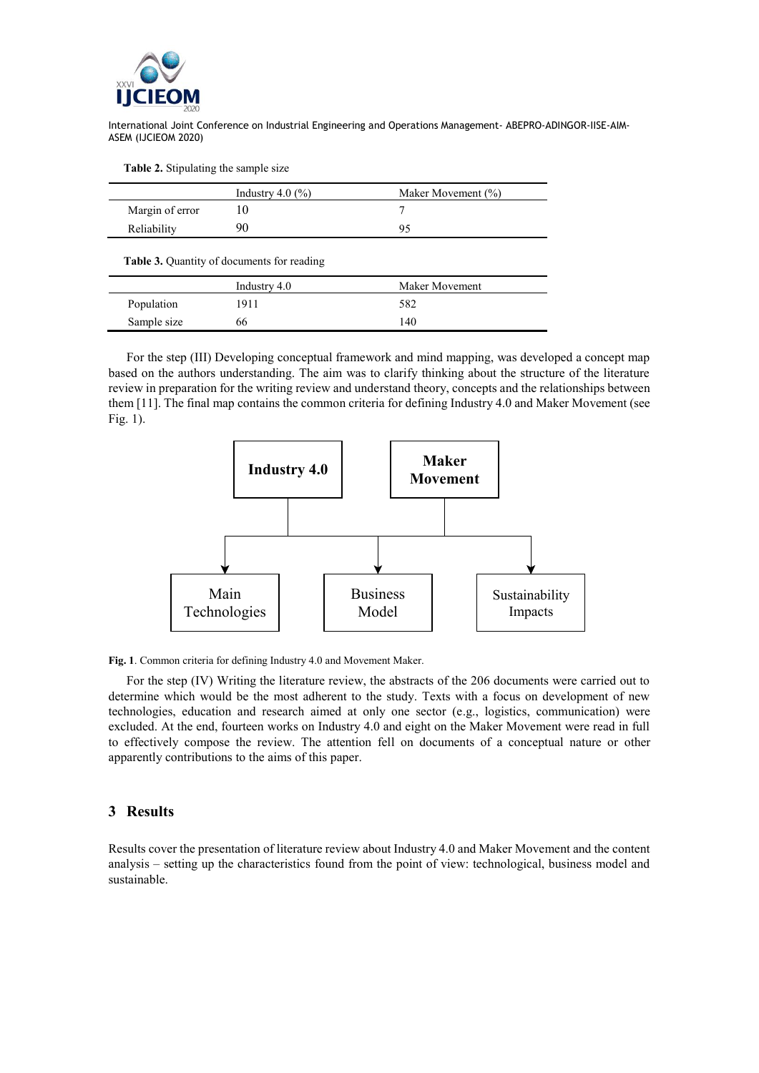

**Table 2.** Stipulating the sample size

|                 | Industry $4.0\,(%$ | Maker Movement (%) |
|-----------------|--------------------|--------------------|
| Margin of error |                    |                    |
| Reliability     | 91                 |                    |

**Table 3.** Quantity of documents for reading

|             | Industry 4.0 | Maker Movement |
|-------------|--------------|----------------|
| Population  | 1911         | 582            |
| Sample size | 66           | 140            |

For the step (III) Developing conceptual framework and mind mapping, was developed a concept map based on the authors understanding. The aim was to clarify thinking about the structure of the literature review in preparation for the writing review and understand theory, concepts and the relationships between them [11]. The final map contains the common criteria for defining Industry 4.0 and Maker Movement (see Fig. 1).



**Fig. 1**. Common criteria for defining Industry 4.0 and Movement Maker.

For the step (IV) Writing the literature review, the abstracts of the 206 documents were carried out to determine which would be the most adherent to the study. Texts with a focus on development of new technologies, education and research aimed at only one sector (e.g., logistics, communication) were excluded. At the end, fourteen works on Industry 4.0 and eight on the Maker Movement were read in full to effectively compose the review. The attention fell on documents of a conceptual nature or other apparently contributions to the aims of this paper.

## **3 Results**

Results cover the presentation of literature review about Industry 4.0 and Maker Movement and the content analysis – setting up the characteristics found from the point of view: technological, business model and sustainable.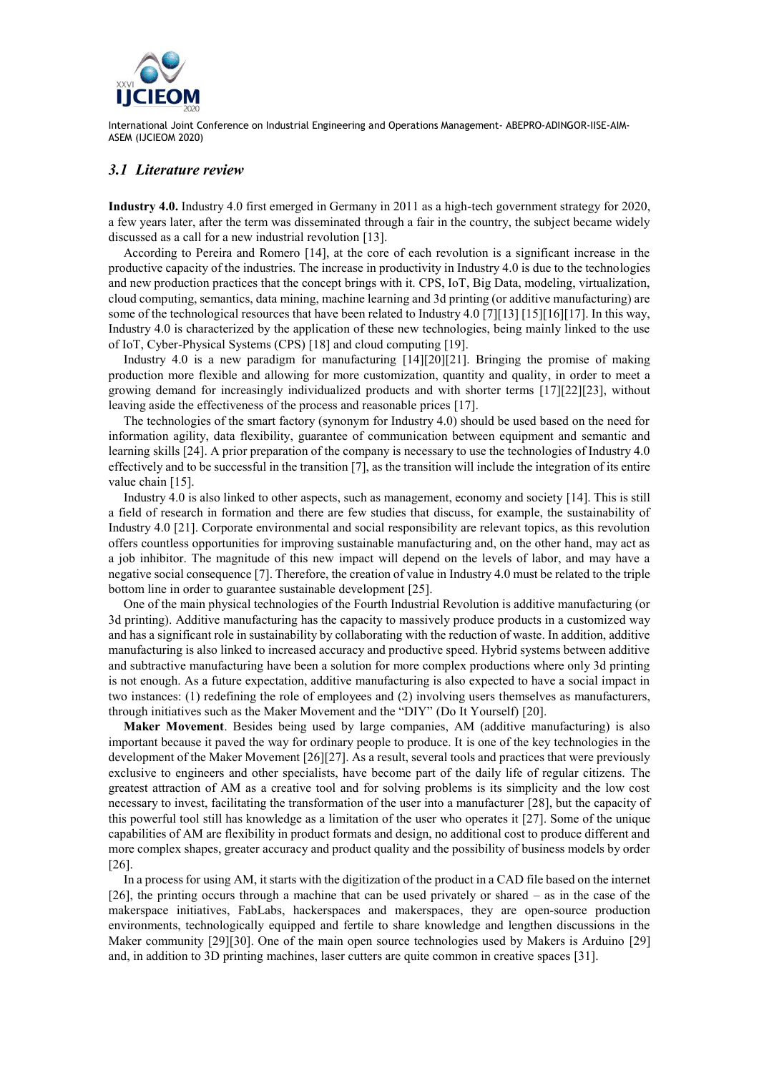

## *3.1 Literature review*

**Industry 4.0.** Industry 4.0 first emerged in Germany in 2011 as a high-tech government strategy for 2020, a few years later, after the term was disseminated through a fair in the country, the subject became widely discussed as a call for a new industrial revolution [13].

According to Pereira and Romero [14], at the core of each revolution is a significant increase in the productive capacity of the industries. The increase in productivity in Industry 4.0 is due to the technologies and new production practices that the concept brings with it. CPS, IoT, Big Data, modeling, virtualization, cloud computing, semantics, data mining, machine learning and 3d printing (or additive manufacturing) are some of the technological resources that have been related to Industry 4.0 [7][13] [15][16][17]. In this way, Industry 4.0 is characterized by the application of these new technologies, being mainly linked to the use of IoT, Cyber-Physical Systems (CPS) [18] and cloud computing [19].

Industry 4.0 is a new paradigm for manufacturing [14][20][21]. Bringing the promise of making production more flexible and allowing for more customization, quantity and quality, in order to meet a growing demand for increasingly individualized products and with shorter terms [17][22][23], without leaving aside the effectiveness of the process and reasonable prices [17].

The technologies of the smart factory (synonym for Industry 4.0) should be used based on the need for information agility, data flexibility, guarantee of communication between equipment and semantic and learning skills [24]. A prior preparation of the company is necessary to use the technologies of Industry 4.0 effectively and to be successful in the transition [7], as the transition will include the integration of its entire value chain [15].

Industry 4.0 is also linked to other aspects, such as management, economy and society [14]. This is still a field of research in formation and there are few studies that discuss, for example, the sustainability of Industry 4.0 [21]. Corporate environmental and social responsibility are relevant topics, as this revolution offers countless opportunities for improving sustainable manufacturing and, on the other hand, may act as a job inhibitor. The magnitude of this new impact will depend on the levels of labor, and may have a negative social consequence [7]. Therefore, the creation of value in Industry 4.0 must be related to the triple bottom line in order to guarantee sustainable development [25].

One of the main physical technologies of the Fourth Industrial Revolution is additive manufacturing (or 3d printing). Additive manufacturing has the capacity to massively produce products in a customized way and has a significant role in sustainability by collaborating with the reduction of waste. In addition, additive manufacturing is also linked to increased accuracy and productive speed. Hybrid systems between additive and subtractive manufacturing have been a solution for more complex productions where only 3d printing is not enough. As a future expectation, additive manufacturing is also expected to have a social impact in two instances: (1) redefining the role of employees and (2) involving users themselves as manufacturers, through initiatives such as the Maker Movement and the "DIY" (Do It Yourself) [20].

**Maker Movement**. Besides being used by large companies, AM (additive manufacturing) is also important because it paved the way for ordinary people to produce. It is one of the key technologies in the development of the Maker Movement [26][27]. As a result, several tools and practices that were previously exclusive to engineers and other specialists, have become part of the daily life of regular citizens. The greatest attraction of AM as a creative tool and for solving problems is its simplicity and the low cost necessary to invest, facilitating the transformation of the user into a manufacturer [28], but the capacity of this powerful tool still has knowledge as a limitation of the user who operates it [27]. Some of the unique capabilities of AM are flexibility in product formats and design, no additional cost to produce different and more complex shapes, greater accuracy and product quality and the possibility of business models by order [26].

In a process for using AM, it starts with the digitization of the product in a CAD file based on the internet [26], the printing occurs through a machine that can be used privately or shared – as in the case of the makerspace initiatives, FabLabs, hackerspaces and makerspaces, they are open-source production environments, technologically equipped and fertile to share knowledge and lengthen discussions in the Maker community [29][30]. One of the main open source technologies used by Makers is Arduino [29] and, in addition to 3D printing machines, laser cutters are quite common in creative spaces [31].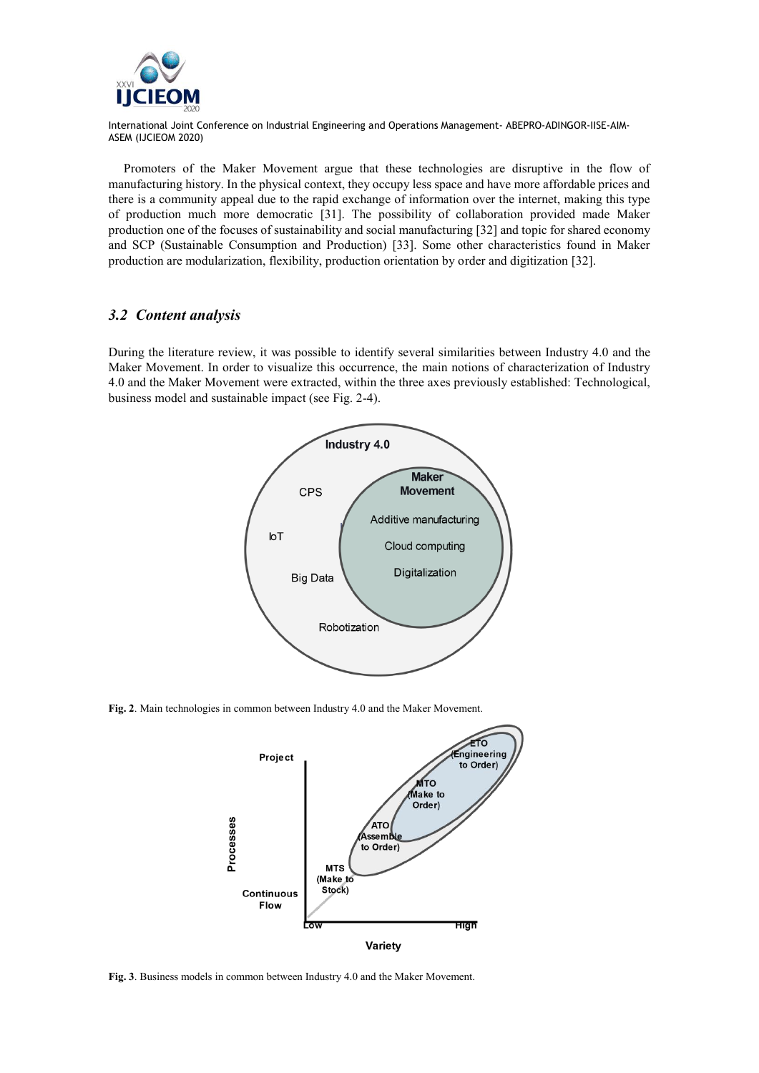

Promoters of the Maker Movement argue that these technologies are disruptive in the flow of manufacturing history. In the physical context, they occupy less space and have more affordable prices and there is a community appeal due to the rapid exchange of information over the internet, making this type of production much more democratic [31]. The possibility of collaboration provided made Maker production one of the focuses of sustainability and social manufacturing [32] and topic for shared economy and SCP (Sustainable Consumption and Production) [33]. Some other characteristics found in Maker production are modularization, flexibility, production orientation by order and digitization [32].

#### *3.2 Content analysis*

During the literature review, it was possible to identify several similarities between Industry 4.0 and the Maker Movement. In order to visualize this occurrence, the main notions of characterization of Industry 4.0 and the Maker Movement were extracted, within the three axes previously established: Technological, business model and sustainable impact (see Fig. 2-4).



**Fig. 2**. Main technologies in common between Industry 4.0 and the Maker Movement.



**Fig. 3**. Business models in common between Industry 4.0 and the Maker Movement.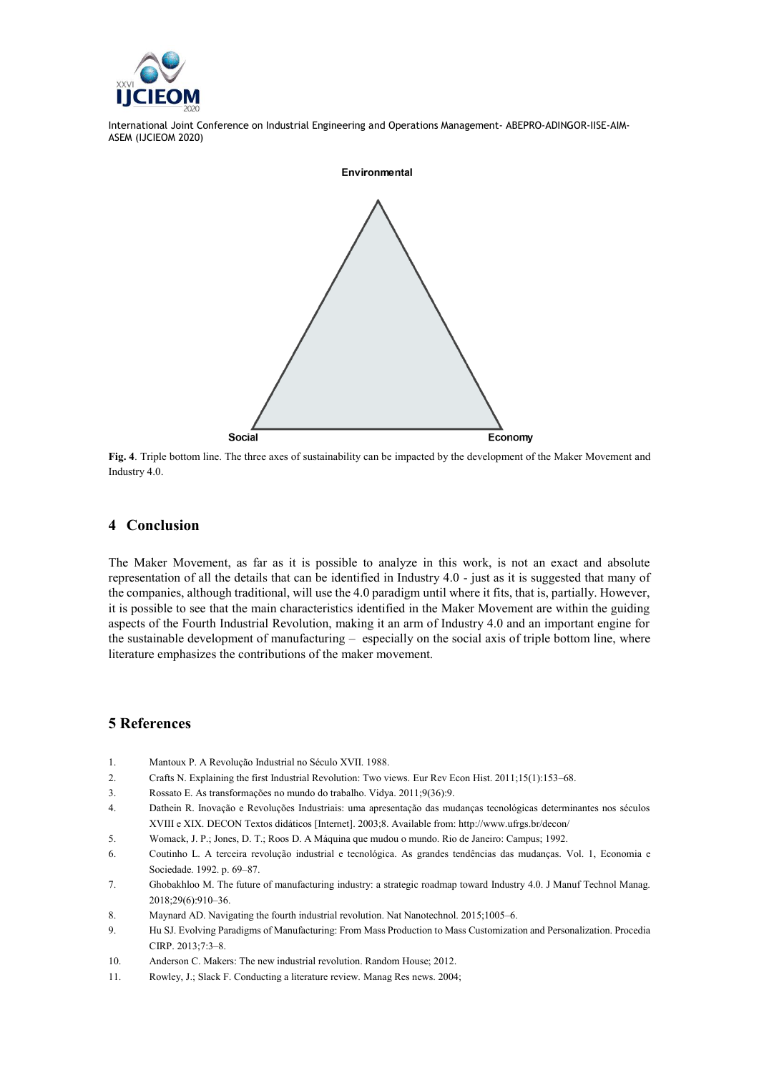



**Fig. 4**. Triple bottom line. The three axes of sustainability can be impacted by the development of the Maker Movement and Industry 4.0.

#### **4 Conclusion**

The Maker Movement, as far as it is possible to analyze in this work, is not an exact and absolute representation of all the details that can be identified in Industry 4.0 - just as it is suggested that many of the companies, although traditional, will use the 4.0 paradigm until where it fits, that is, partially. However, it is possible to see that the main characteristics identified in the Maker Movement are within the guiding aspects of the Fourth Industrial Revolution, making it an arm of Industry 4.0 and an important engine for the sustainable development of manufacturing – especially on the social axis of triple bottom line, where literature emphasizes the contributions of the maker movement.

## **5 References**

- 1. Mantoux P. A Revolução Industrial no Século XVII. 1988.
- 2. Crafts N. Explaining the first Industrial Revolution: Two views. Eur Rev Econ Hist. 2011;15(1):153–68.
- 3. Rossato E. As transformações no mundo do trabalho. Vidya. 2011;9(36):9.
- 4. Dathein R. Inovação e Revoluções Industriais: uma apresentação das mudanças tecnológicas determinantes nos séculos XVIII e XIX. DECON Textos didáticos [Internet]. 2003;8. Available from: http://www.ufrgs.br/decon/
- 5. Womack, J. P.; Jones, D. T.; Roos D. A Máquina que mudou o mundo. Rio de Janeiro: Campus; 1992.
- 6. Coutinho L. A terceira revolução industrial e tecnológica. As grandes tendências das mudanças. Vol. 1, Economia e Sociedade. 1992. p. 69–87.
- 7. Ghobakhloo M. The future of manufacturing industry: a strategic roadmap toward Industry 4.0. J Manuf Technol Manag. 2018;29(6):910–36.
- 8. Maynard AD. Navigating the fourth industrial revolution. Nat Nanotechnol. 2015;1005–6.
- 9. Hu SJ. Evolving Paradigms of Manufacturing: From Mass Production to Mass Customization and Personalization. Procedia CIRP. 2013;7:3–8.
- 10. Anderson C. Makers: The new industrial revolution. Random House; 2012.
- 11. Rowley, J.; Slack F. Conducting a literature review. Manag Res news. 2004;